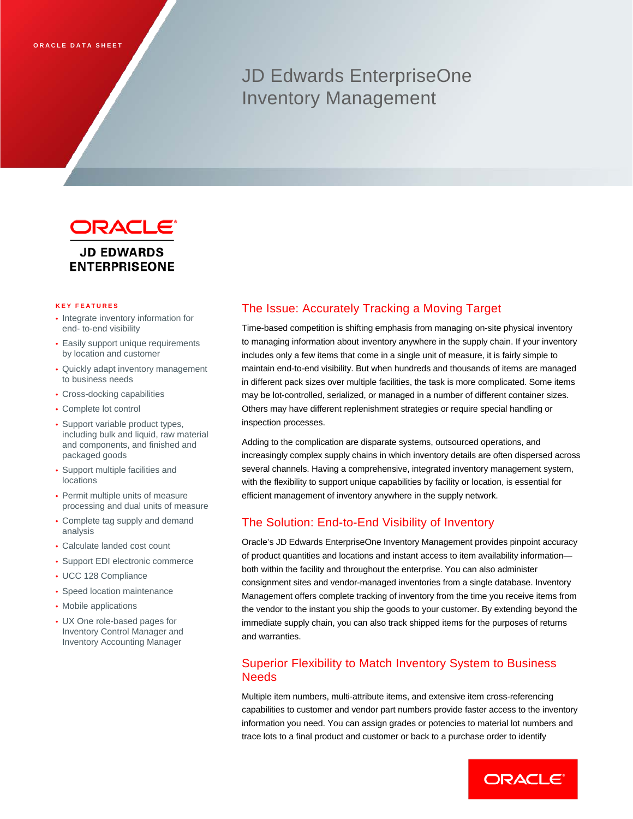# JD Edwards EnterpriseOne Inventory Management



**ENTERPRISEONE** 

# **KEY FEATURES**

- Integrate inventory information for end- to-end visibility
- Easily support unique requirements by location and customer
- Quickly adapt inventory management to business needs
- Cross-docking capabilities
- Complete lot control
- Support variable product types, including bulk and liquid, raw material and components, and finished and packaged goods
- Support multiple facilities and locations
- Permit multiple units of measure processing and dual units of measure
- Complete tag supply and demand analysis
- Calculate landed cost count
- Support EDI electronic commerce
- UCC 128 Compliance
- Speed location maintenance
- Mobile applications
- UX One role-based pages for Inventory Control Manager and Inventory Accounting Manager

## The Issue: Accurately Tracking a Moving Target

Time-based competition is shifting emphasis from managing on-site physical inventory to managing information about inventory anywhere in the supply chain. If your inventory includes only a few items that come in a single unit of measure, it is fairly simple to maintain end-to-end visibility. But when hundreds and thousands of items are managed in different pack sizes over multiple facilities, the task is more complicated. Some items may be lot-controlled, serialized, or managed in a number of different container sizes. Others may have different replenishment strategies or require special handling or inspection processes.

Adding to the complication are disparate systems, outsourced operations, and increasingly complex supply chains in which inventory details are often dispersed across several channels. Having a comprehensive, integrated inventory management system, with the flexibility to support unique capabilities by facility or location, is essential for efficient management of inventory anywhere in the supply network.

## The Solution: End-to-End Visibility of Inventory

Oracle's JD Edwards EnterpriseOne Inventory Management provides pinpoint accuracy of product quantities and locations and instant access to item availability information both within the facility and throughout the enterprise. You can also administer consignment sites and vendor-managed inventories from a single database. Inventory Management offers complete tracking of inventory from the time you receive items from the vendor to the instant you ship the goods to your customer. By extending beyond the immediate supply chain, you can also track shipped items for the purposes of returns and warranties.

## Superior Flexibility to Match Inventory System to Business **Needs**

Multiple item numbers, multi-attribute items, and extensive item cross-referencing capabilities to customer and vendor part numbers provide faster access to the inventory information you need. You can assign grades or potencies to material lot numbers and trace lots to a final product and customer or back to a purchase order to identify

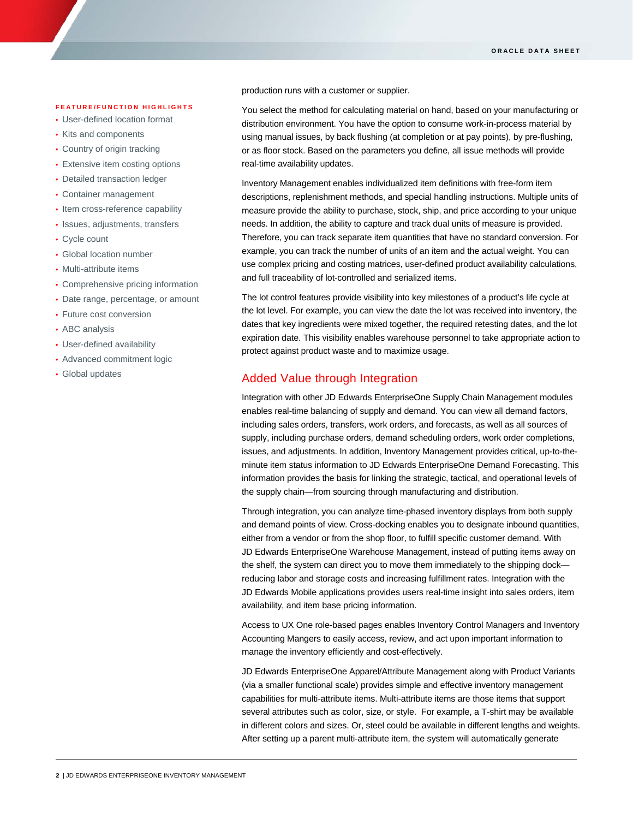#### **FEATURE/FUNCTION HIGHLIGHTS**

- User-defined location format
- Kits and components

I

- Country of origin tracking
- Extensive item costing options
- Detailed transaction ledger
- Container management
- Item cross-reference capability
- Issues, adjustments, transfers
- Cycle count
- Global location number
- Multi-attribute items
- Comprehensive pricing information
- Date range, percentage, or amount
- Future cost conversion
- ABC analysis
- User-defined availability
- Advanced commitment logic
- Global updates

production runs with a customer or supplier.

You select the method for calculating material on hand, based on your manufacturing or distribution environment. You have the option to consume work-in-process material by using manual issues, by back flushing (at completion or at pay points), by pre-flushing, or as floor stock. Based on the parameters you define, all issue methods will provide real-time availability updates.

Inventory Management enables individualized item definitions with free-form item descriptions, replenishment methods, and special handling instructions. Multiple units of measure provide the ability to purchase, stock, ship, and price according to your unique needs. In addition, the ability to capture and track dual units of measure is provided. Therefore, you can track separate item quantities that have no standard conversion. For example, you can track the number of units of an item and the actual weight. You can use complex pricing and costing matrices, user-defined product availability calculations, and full traceability of lot-controlled and serialized items.

The lot control features provide visibility into key milestones of a product's life cycle at the lot level. For example, you can view the date the lot was received into inventory, the dates that key ingredients were mixed together, the required retesting dates, and the lot expiration date. This visibility enables warehouse personnel to take appropriate action to protect against product waste and to maximize usage.

### Added Value through Integration

Integration with other JD Edwards EnterpriseOne Supply Chain Management modules enables real-time balancing of supply and demand. You can view all demand factors, including sales orders, transfers, work orders, and forecasts, as well as all sources of supply, including purchase orders, demand scheduling orders, work order completions, issues, and adjustments. In addition, Inventory Management provides critical, up-to-theminute item status information to JD Edwards EnterpriseOne Demand Forecasting. This information provides the basis for linking the strategic, tactical, and operational levels of the supply chain—from sourcing through manufacturing and distribution.

Through integration, you can analyze time-phased inventory displays from both supply and demand points of view. Cross-docking enables you to designate inbound quantities, either from a vendor or from the shop floor, to fulfill specific customer demand. With JD Edwards EnterpriseOne Warehouse Management, instead of putting items away on the shelf, the system can direct you to move them immediately to the shipping dock reducing labor and storage costs and increasing fulfillment rates. Integration with the JD Edwards Mobile applications provides users real-time insight into sales orders, item availability, and item base pricing information.

Access to UX One role-based pages enables Inventory Control Managers and Inventory Accounting Mangers to easily access, review, and act upon important information to manage the inventory efficiently and cost-effectively.

JD Edwards EnterpriseOne Apparel/Attribute Management along with Product Variants (via a smaller functional scale) provides simple and effective inventory management capabilities for multi-attribute items. Multi-attribute items are those items that support several attributes such as color, size, or style. For example, a T-shirt may be available in different colors and sizes. Or, steel could be available in different lengths and weights. After setting up a parent multi-attribute item, the system will automatically generate